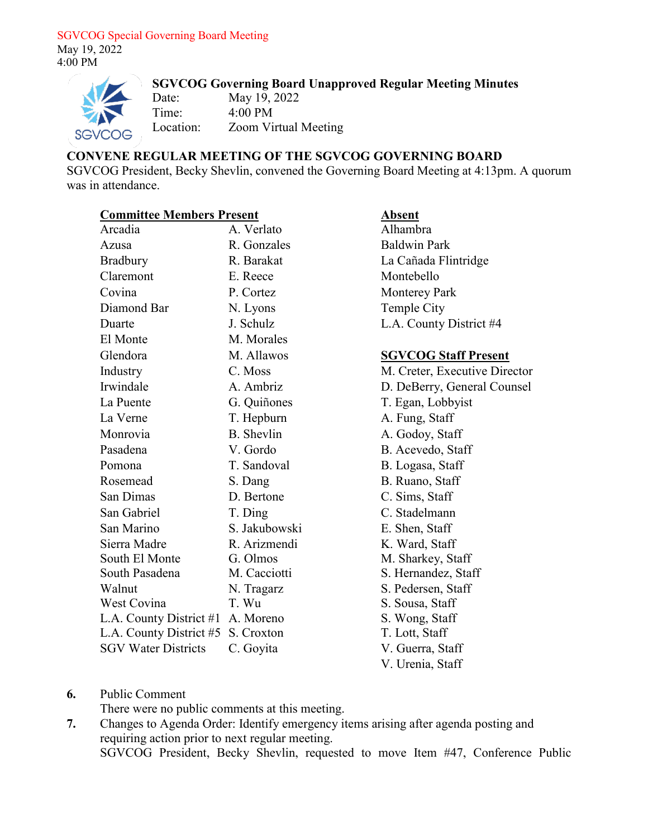#### SGVCOG Special Governing Board Meeting May 19, 2022 4:00 PM



## **SGVCOG Governing Board Unapproved Regular Meeting Minutes**

Date: May 19, 2022 Time: 4:00 PM Location: Zoom Virtual Meeting

## **CONVENE REGULAR MEETING OF THE SGVCOG GOVERNING BOARD**

SGVCOG President, Becky Shevlin, convened the Governing Board Meeting at 4:13pm. A quorum was in attendance.

### **Committee Members Present 4 Absent**

| Arcadia                            | A. Verlato        |
|------------------------------------|-------------------|
| Azusa                              | R. Gonzales       |
| <b>Bradbury</b>                    | R. Barakat        |
| Claremont                          | E. Reece          |
| Covina                             | P. Cortez         |
| Diamond Bar                        | N. Lyons          |
| Duarte                             | J. Schulz         |
| El Monte                           | M. Morales        |
| Glendora                           | M. Allawos        |
| Industry                           | C. Moss           |
| Irwindale                          | A. Ambriz         |
| La Puente                          | G. Quiñones       |
| La Verne                           | T. Hepburn        |
| Monrovia                           | <b>B.</b> Shevlin |
| Pasadena                           | V. Gordo          |
| Pomona                             | T. Sandoval       |
| Rosemead                           | S. Dang           |
| San Dimas                          | D. Bertone        |
| San Gabriel                        | T. Ding           |
| San Marino                         | S. Jakubowski     |
| Sierra Madre                       | R. Arizmendi      |
| South El Monte                     | G. Olmos          |
| South Pasadena                     | M. Cacciotti      |
| Walnut                             | N. Tragarz        |
| West Covina                        | T. Wu             |
| L.A. County District #1 A. Moreno  |                   |
| L.A. County District #5 S. Croxton |                   |
| <b>SGV Water Districts</b>         | C. Goyita         |

# Alhambra Baldwin Park La Cañada Flintridge Montebello Monterey Park Temple City L.A. County District #4

## **SGVCOG Staff Present**

M. Creter, Executive Director D. DeBerry, General Counsel T. Egan, Lobbyist A. Fung, Staff A. Godoy, Staff B. Acevedo, Staff B. Logasa, Staff B. Ruano, Staff C. Sims, Staff C. Stadelmann E. Shen, Staff K. Ward, Staff M. Sharkey, Staff S. Hernandez, Staff S. Pedersen, Staff S. Sousa, Staff S. Wong, Staff T. Lott, Staff V. Guerra, Staff V. Urenia, Staff

### **6.** Public Comment

There were no public comments at this meeting.

**7.** Changes to Agenda Order: Identify emergency items arising after agenda posting and requiring action prior to next regular meeting. SGVCOG President, Becky Shevlin, requested to move Item #47, Conference Public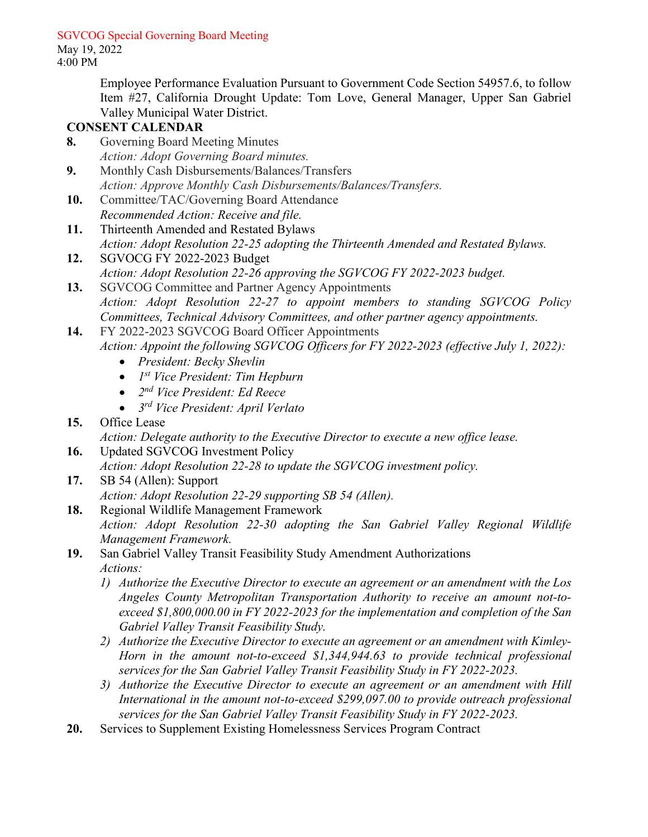### SGVCOG Special Governing Board Meeting

May 19, 2022 4:00 PM

> Employee Performance Evaluation Pursuant to Government Code Section 54957.6, to follow Item #27, California Drought Update: Tom Love, General Manager, Upper San Gabriel Valley Municipal Water District.

## **CONSENT CALENDAR**

- **8.** Governing Board Meeting Minutes *Action: Adopt Governing Board minutes.*
- **9.** Monthly Cash Disbursements/Balances/Transfers *Action: Approve Monthly Cash Disbursements/Balances/Transfers.*
- **10.** Committee/TAC/Governing Board Attendance *Recommended Action: Receive and file.*
- **11.** Thirteenth Amended and Restated Bylaws *Action: Adopt Resolution 22-25 adopting the Thirteenth Amended and Restated Bylaws.*
- **12.** SGVOCG FY 2022-2023 Budget *Action: Adopt Resolution 22-26 approving the SGVCOG FY 2022-2023 budget.*
- **13.** SGVCOG Committee and Partner Agency Appointments *Action: Adopt Resolution 22-27 to appoint members to standing SGVCOG Policy Committees, Technical Advisory Committees, and other partner agency appointments.*
- **14.** FY 2022-2023 SGVCOG Board Officer Appointments *Action: Appoint the following SGVCOG Officers for FY 2022-2023 (effective July 1, 2022):*
	- *President: Becky Shevlin*
	- *1st Vice President: Tim Hepburn*
	- *2nd Vice President: Ed Reece*
	- *3rd Vice President: April Verlato*
- **15.** Office Lease

*Action: Delegate authority to the Executive Director to execute a new office lease.*

- **16.** Updated SGVCOG Investment Policy *Action: Adopt Resolution 22-28 to update the SGVCOG investment policy.*
- **17.** SB 54 (Allen): Support *Action: Adopt Resolution 22-29 supporting SB 54 (Allen).*
- **18.** Regional Wildlife Management Framework *Action: Adopt Resolution 22-30 adopting the San Gabriel Valley Regional Wildlife Management Framework.*
- **19.** San Gabriel Valley Transit Feasibility Study Amendment Authorizations *Actions:*
	- *1) Authorize the Executive Director to execute an agreement or an amendment with the Los Angeles County Metropolitan Transportation Authority to receive an amount not-toexceed \$1,800,000.00 in FY 2022-2023 for the implementation and completion of the San Gabriel Valley Transit Feasibility Study.*
	- *2) Authorize the Executive Director to execute an agreement or an amendment with Kimley-Horn in the amount not-to-exceed \$1,344,944.63 to provide technical professional services for the San Gabriel Valley Transit Feasibility Study in FY 2022-2023.*
	- *3) Authorize the Executive Director to execute an agreement or an amendment with Hill International in the amount not-to-exceed \$299,097.00 to provide outreach professional services for the San Gabriel Valley Transit Feasibility Study in FY 2022-2023.*
- **20.** Services to Supplement Existing Homelessness Services Program Contract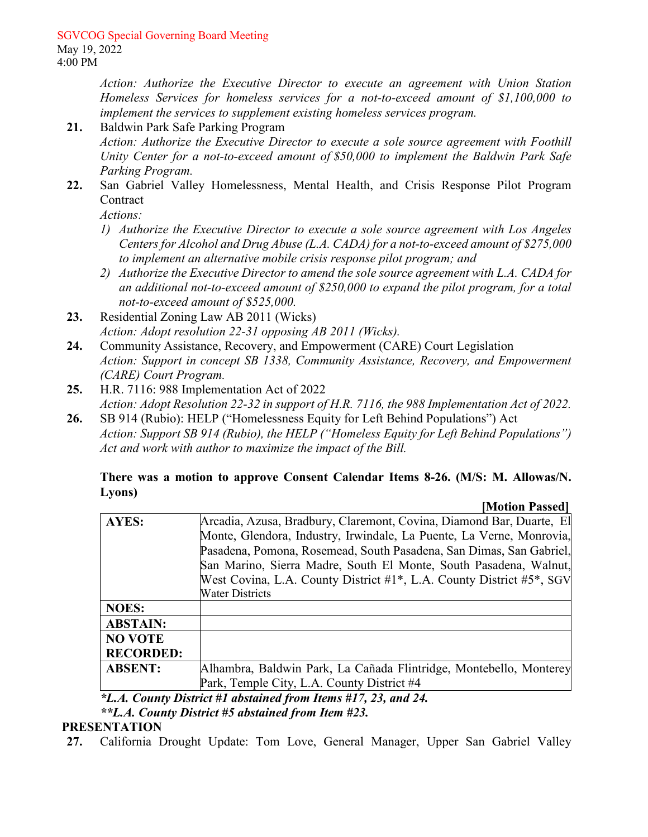*Action: Authorize the Executive Director to execute an agreement with Union Station Homeless Services for homeless services for a not-to-exceed amount of \$1,100,000 to implement the services to supplement existing homeless services program.* 

- **21.** Baldwin Park Safe Parking Program *Action: Authorize the Executive Director to execute a sole source agreement with Foothill Unity Center for a not-to-exceed amount of \$50,000 to implement the Baldwin Park Safe Parking Program.*
- **22.** San Gabriel Valley Homelessness, Mental Health, and Crisis Response Pilot Program **Contract**

*Actions:* 

- *1) Authorize the Executive Director to execute a sole source agreement with Los Angeles Centers for Alcohol and Drug Abuse (L.A. CADA) for a not-to-exceed amount of \$275,000 to implement an alternative mobile crisis response pilot program; and*
- *2) Authorize the Executive Director to amend the sole source agreement with L.A. CADA for an additional not-to-exceed amount of \$250,000 to expand the pilot program, for a total not-to-exceed amount of \$525,000.*
- **23.** Residential Zoning Law AB 2011 (Wicks) *Action: Adopt resolution 22-31 opposing AB 2011 (Wicks).*
- **24.** Community Assistance, Recovery, and Empowerment (CARE) Court Legislation *Action: Support in concept SB 1338, Community Assistance, Recovery, and Empowerment (CARE) Court Program.*
- **25.** H.R. 7116: 988 Implementation Act of 2022 *Action: Adopt Resolution 22-32 in support of H.R. 7116, the 988 Implementation Act of 2022.*
- **26.** SB 914 (Rubio): HELP ("Homelessness Equity for Left Behind Populations") Act *Action: Support SB 914 (Rubio), the HELP ("Homeless Equity for Left Behind Populations") Act and work with author to maximize the impact of the Bill.*

#### **There was a motion to approve Consent Calendar Items 8-26. (M/S: M. Allowas/N. Lyons) [Motion Passed]**

|                                                            | INIULIUII I ASSEUI                                                   |
|------------------------------------------------------------|----------------------------------------------------------------------|
| AYES:                                                      | Arcadia, Azusa, Bradbury, Claremont, Covina, Diamond Bar, Duarte, El |
|                                                            | Monte, Glendora, Industry, Irwindale, La Puente, La Verne, Monrovia, |
|                                                            | Pasadena, Pomona, Rosemead, South Pasadena, San Dimas, San Gabriel,  |
|                                                            | San Marino, Sierra Madre, South El Monte, South Pasadena, Walnut,    |
|                                                            | West Covina, L.A. County District #1*, L.A. County District #5*, SGV |
|                                                            | <b>Water Districts</b>                                               |
| <b>NOES:</b>                                               |                                                                      |
| <b>ABSTAIN:</b>                                            |                                                                      |
| <b>NO VOTE</b>                                             |                                                                      |
| <b>RECORDED:</b>                                           |                                                                      |
| <b>ABSENT:</b>                                             | Alhambra, Baldwin Park, La Cañada Flintridge, Montebello, Monterey   |
|                                                            | Park, Temple City, L.A. County District #4                           |
| *I A County District #1 abstained from Items #17 23 and 24 |                                                                      |

*\*L.A. County District #1 abstained from Items #17, 23, and 24.* 

*\*\*L.A. County District #5 abstained from Item #23.* 

# **PRESENTATION**

**27.** California Drought Update: Tom Love, General Manager, Upper San Gabriel Valley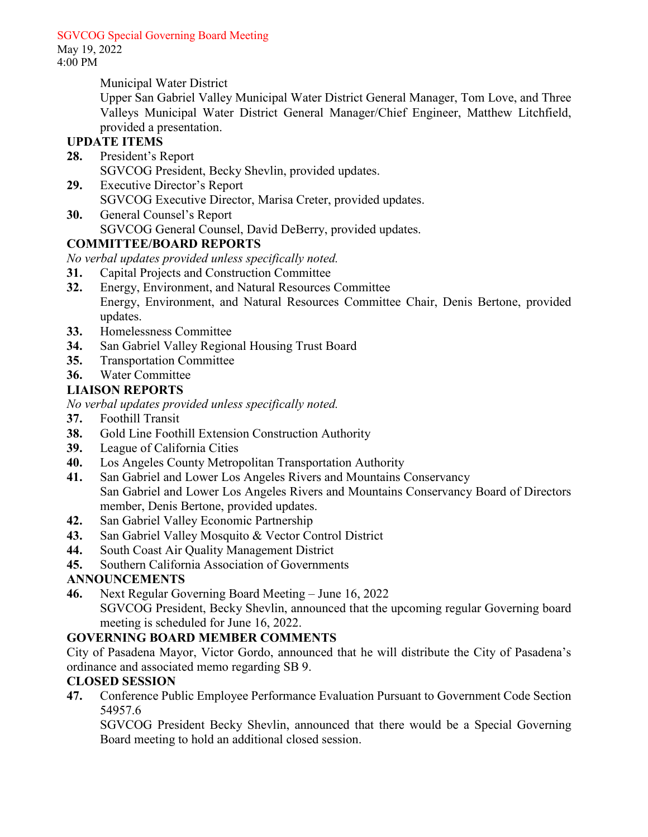SGVCOG Special Governing Board Meeting

May 19, 2022 4:00 PM

Municipal Water District

Upper San Gabriel Valley Municipal Water District General Manager, Tom Love, and Three Valleys Municipal Water District General Manager/Chief Engineer, Matthew Litchfield, provided a presentation.

# **UPDATE ITEMS**

- **28.** President's Report SGVCOG President, Becky Shevlin, provided updates.
- **29.** Executive Director's Report SGVCOG Executive Director, Marisa Creter, provided updates.
- **30.** General Counsel's Report SGVCOG General Counsel, David DeBerry, provided updates.

# **COMMITTEE/BOARD REPORTS**

*No verbal updates provided unless specifically noted.* 

- **31.** Capital Projects and Construction Committee
- **32.** Energy, Environment, and Natural Resources Committee Energy, Environment, and Natural Resources Committee Chair, Denis Bertone, provided updates.
- **33.** Homelessness Committee
- **34.** San Gabriel Valley Regional Housing Trust Board
- **35.** Transportation Committee
- **36.** Water Committee

# **LIAISON REPORTS**

*No verbal updates provided unless specifically noted.* 

- **37.** Foothill Transit
- **38.** Gold Line Foothill Extension Construction Authority
- **39.** League of California Cities
- **40.** Los Angeles County Metropolitan Transportation Authority
- **41.** San Gabriel and Lower Los Angeles Rivers and Mountains Conservancy San Gabriel and Lower Los Angeles Rivers and Mountains Conservancy Board of Directors member, Denis Bertone, provided updates.
- **42.** San Gabriel Valley Economic Partnership
- **43.** San Gabriel Valley Mosquito & Vector Control District
- **44.** South Coast Air Quality Management District
- **45.** Southern California Association of Governments

# **ANNOUNCEMENTS**

- **46.** Next Regular Governing Board Meeting June 16, 2022
	- SGVCOG President, Becky Shevlin, announced that the upcoming regular Governing board meeting is scheduled for June 16, 2022.

# **GOVERNING BOARD MEMBER COMMENTS**

City of Pasadena Mayor, Victor Gordo, announced that he will distribute the City of Pasadena's ordinance and associated memo regarding SB 9.

# **CLOSED SESSION**

**47.** Conference Public Employee Performance Evaluation Pursuant to Government Code Section 54957.6

SGVCOG President Becky Shevlin, announced that there would be a Special Governing Board meeting to hold an additional closed session.